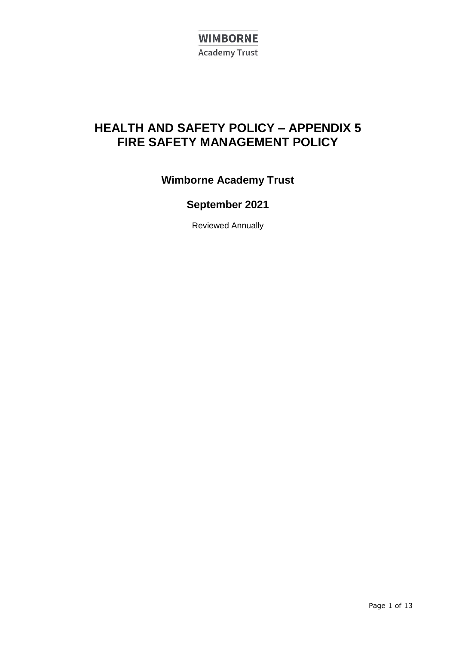

# **HEALTH AND SAFETY POLICY – APPENDIX 5 FIRE SAFETY MANAGEMENT POLICY**

**Wimborne Academy Trust**

# **September 2021**

Reviewed Annually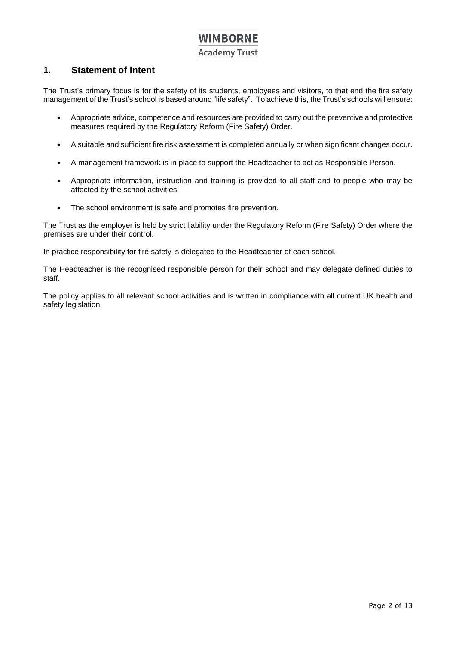**Academy Trust** 

### <span id="page-1-0"></span>**1. Statement of Intent**

The Trust's primary focus is for the safety of its students, employees and visitors, to that end the fire safety management of the Trust's school is based around "life safety". To achieve this, the Trust's schools will ensure:

- Appropriate advice, competence and resources are provided to carry out the preventive andprotective measures required by the Regulatory Reform (Fire Safety) Order.
- A suitable and sufficient fire risk assessment is completed annually or when significant changes occur.
- A management framework is in place to support the Headteacher to act as Responsible Person.
- Appropriate information, instruction and training is provided to all staff and to people who may be affected by the school activities.
- The school environment is safe and promotes fire prevention.

The Trust as the employer is held by strict liability under the Regulatory Reform (Fire Safety) Order where the premises are under their control.

In practice responsibility for fire safety is delegated to the Headteacher of each school.

The Headteacher is the recognised responsible person for their school and may delegate defined duties to staff.

The policy applies to all relevant school activities and is written in compliance with all current UK health and safety legislation.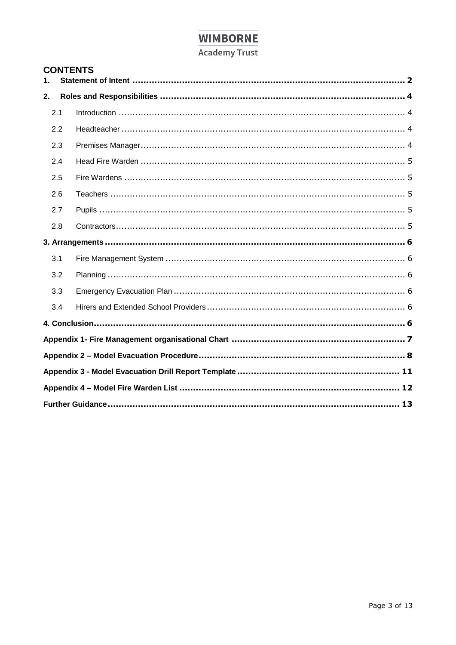# **Academy Trust**

| <b>CONTENTS</b> |     |                           |  |
|-----------------|-----|---------------------------|--|
|                 |     |                           |  |
|                 | 2.1 |                           |  |
|                 | 2.2 |                           |  |
|                 | 2.3 |                           |  |
|                 | 2.4 |                           |  |
|                 | 2.5 |                           |  |
|                 | 2.6 |                           |  |
|                 | 2.7 |                           |  |
|                 | 2.8 |                           |  |
|                 |     |                           |  |
|                 | 3.1 |                           |  |
|                 |     | 22 Diopping<br>$\epsilon$ |  |

| 2.3 |  |  |  |
|-----|--|--|--|
| 2.4 |  |  |  |
| 2.5 |  |  |  |
| 2.6 |  |  |  |
| 2.7 |  |  |  |
| 2.8 |  |  |  |
|     |  |  |  |
| 3.1 |  |  |  |
| 3.2 |  |  |  |
| 3.3 |  |  |  |
| 3.4 |  |  |  |
|     |  |  |  |
|     |  |  |  |
|     |  |  |  |
|     |  |  |  |
|     |  |  |  |
|     |  |  |  |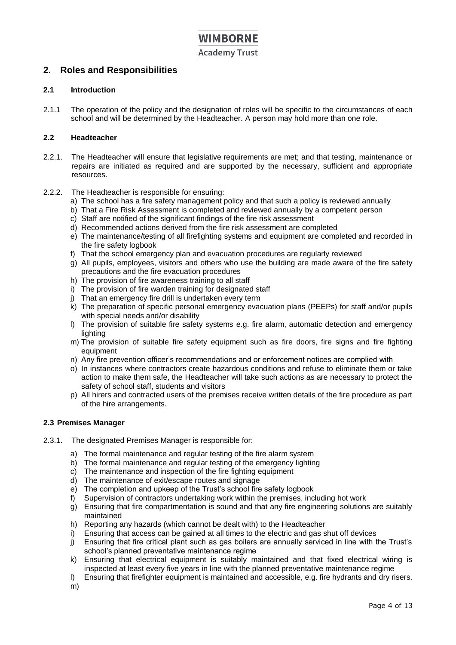**Academy Trust** 

### <span id="page-3-0"></span>**2. Roles and Responsibilities**

### <span id="page-3-1"></span>**2.1 Introduction**

2.1.1 The operation of the policy and the designation of roles will be specific to the circumstances of each school and will be determined by the Headteacher. A person may hold more than one role.

### <span id="page-3-2"></span>**2.2 Headteacher**

- 2.2.1. The Headteacher will ensure that legislative requirements are met; and that testing, maintenance or repairs are initiated as required and are supported by the necessary, sufficient and appropriate resources.
- 2.2.2. The Headteacher is responsible for ensuring:
	- a) The school has a fire safety management policy and that such a policy is reviewed annually
	- b) That a Fire Risk Assessment is completed and reviewed annually by a competent person
	- c) Staff are notified of the significant findings of the fire risk assessment
	- d) Recommended actions derived from the fire risk assessment are completed
	- e) The maintenance/testing of all firefighting systems and equipment are completed and recorded in the fire safety logbook
	- f) That the school emergency plan and evacuation procedures are regularly reviewed
	- g) All pupils, employees, visitors and others who use the building are made aware of the fire safety precautions and the fire evacuation procedures
	- h) The provision of fire awareness training to all staff
	- i) The provision of fire warden training for designated staff
	- j) That an emergency fire drill is undertaken every term
	- k) The preparation of specific personal emergency evacuation plans (PEEPs) for staff and/or pupils with special needs and/or disability
	- l) The provision of suitable fire safety systems e.g. fire alarm, automatic detection and emergency lighting
	- m) The provision of suitable fire safety equipment such as fire doors, fire signs and fire fighting equipment
	- n) Any fire prevention officer's recommendations and or enforcement notices are complied with
	- o) In instances where contractors create hazardous conditions and refuse to eliminate them or take action to make them safe, the Headteacher will take such actions as are necessary to protect the safety of school staff, students and visitors
	- p) All hirers and contracted users of the premises receive written details of the fire procedure as part of the hire arrangements.

### <span id="page-3-3"></span>**2.3 Premises Manager**

- 2.3.1. The designated Premises Manager is responsible for:
	- a) The formal maintenance and regular testing of the fire alarm system
	- b) The formal maintenance and regular testing of the emergency lighting
	- c) The maintenance and inspection of the fire fighting equipment
	- d) The maintenance of exit/escape routes and signage
	- e) The completion and upkeep of the Trust's school fire safety logbook
	- f) Supervision of contractors undertaking work within the premises, including hot work
	- $g$ ) Ensuring that fire compartmentation is sound and that any fire engineering solutions are suitably maintained
	- h) Reporting any hazards (which cannot be dealt with) to the Headteacher
	- i) Ensuring that access can be gained at all times to the electric and gas shut off devices
	- j) Ensuring that fire critical plant such as gas boilers are annually serviced in line with the Trust's school's planned preventative maintenance regime
	- k) Ensuring that electrical equipment is suitably maintained and that fixed electrical wiring is inspected at least every five years in line with the planned preventative maintenance regime
	- l) Ensuring that firefighter equipment is maintained and accessible, e.g. fire hydrants and dry risers.
	- m)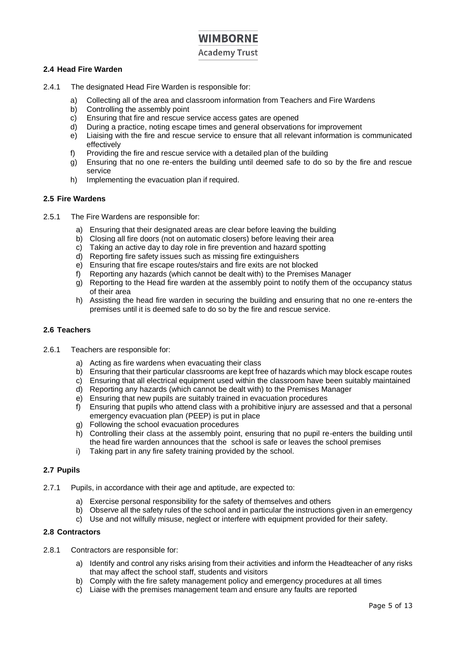**Academy Trust** 

### <span id="page-4-0"></span>**2.4 Head Fire Warden**

- 2.4.1 The designated Head Fire Warden is responsible for:
	- a) Collecting all of the area and classroom information from Teachers and Fire Wardens
	- b) Controlling the assembly point
	- c) Ensuring that fire and rescue service access gates are opened
	- d) During a practice, noting escape times and general observations for improvement
	- e) Liaising with the fire and rescue service to ensure that all relevant information is communicated effectively
	- f) Providing the fire and rescue service with a detailed plan of the building
	- g) Ensuring that no one re-enters the building until deemed safe to do so by the fire and rescue service
	- h) Implementing the evacuation plan if required.

### <span id="page-4-1"></span>**2.5 Fire Wardens**

- 2.5.1 The Fire Wardens are responsible for:
	- a) Ensuring that their designated areas are clear before leaving the building
	- b) Closing all fire doors (not on automatic closers) before leaving their area
	- c) Taking an active day to day role in fire prevention and hazard spotting
	- d) Reporting fire safety issues such as missing fire extinguishers
	- e) Ensuring that fire escape routes/stairs and fire exits are not blocked
	- f) Reporting any hazards (which cannot be dealt with) to the Premises Manager
	- g) Reporting to the Head fire warden at the assembly point to notify them of the occupancy status of their area
	- h) Assisting the head fire warden in securing the building and ensuring that no one re-enters the premises until it is deemed safe to do so by the fire and rescue service.

### <span id="page-4-2"></span>**2.6 Teachers**

- 2.6.1 Teachers are responsible for:
	- a) Acting as fire wardens when evacuating their class
	- b) Ensuring that their particular classrooms are kept free of hazards which may block escape routes
	- c) Ensuring that all electrical equipment used within the classroom have been suitably maintained
	- d) Reporting any hazards (which cannot be dealt with) to the Premises Manager
	- e) Ensuring that new pupils are suitably trained in evacuation procedures
	- f) Ensuring that pupils who attend class with a prohibitive injury are assessed and that a personal emergency evacuation plan (PEEP) is put in place
	- g) Following the school evacuation procedures
	- h) Controlling their class at the assembly point, ensuring that no pupil re-enters the building until the head fire warden announces that the school is safe or leaves the school premises
	- i) Taking part in any fire safety training provided by the school.

### <span id="page-4-3"></span>**2.7 Pupils**

- 2.7.1 Pupils, in accordance with their age and aptitude, are expected to:
	- a) Exercise personal responsibility for the safety of themselves and others
	- b) Observe all the safety rules of the school and in particular the instructions given in an emergency
	- c) Use and not wilfully misuse, neglect or interfere with equipment provided for their safety.

### <span id="page-4-4"></span>**2.8 Contractors**

- 2.8.1 Contractors are responsible for:
	- a) Identify and control any risks arising from their activities and inform the Headteacher of any risks that may affect the school staff, students and visitors
	- b) Comply with the fire safety management policy and emergency procedures at all times
	- c) Liaise with the premises management team and ensure any faults are reported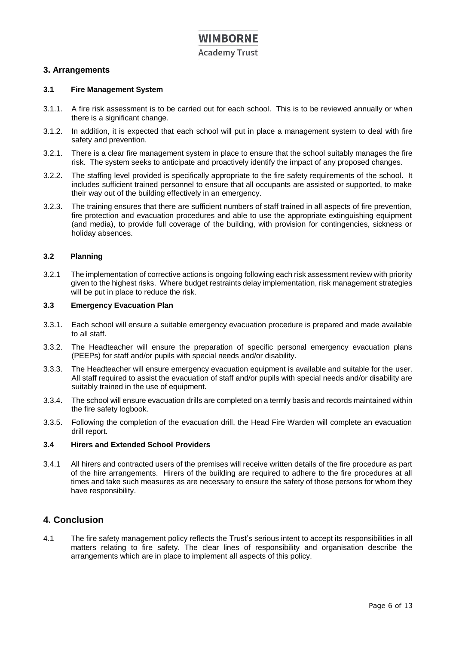**Academy Trust** 

### <span id="page-5-0"></span>**3. Arrangements**

### <span id="page-5-1"></span>**3.1 Fire Management System**

- 3.1.1. A fire risk assessment is to be carried out for each school. This is to be reviewed annually or when there is a significant change.
- 3.1.2. In addition, it is expected that each school will put in place a management system to deal with fire safety and prevention.
- 3.2.1. There is a clear fire management system in place to ensure that the school suitably manages the fire risk. The system seeks to anticipate and proactively identify the impact of any proposed changes.
- 3.2.2. The staffing level provided is specifically appropriate to the fire safety requirements of the school. It includes sufficient trained personnel to ensure that all occupants are assisted or supported, to make their way out of the building effectively in an emergency.
- 3.2.3. The training ensures that there are sufficient numbers of staff trained in all aspects of fire prevention, fire protection and evacuation procedures and able to use the appropriate extinguishing equipment (and media), to provide full coverage of the building, with provision for contingencies, sickness or holiday absences.

### <span id="page-5-2"></span>**3.2 Planning**

3.2.1 The implementation of corrective actions is ongoing following each risk assessment review with priority given to the highest risks. Where budget restraints delay implementation, risk management strategies will be put in place to reduce the risk.

### <span id="page-5-3"></span>**3.3 Emergency Evacuation Plan**

- 3.3.1. Each school will ensure a suitable emergency evacuation procedure is prepared and made available to all staff.
- 3.3.2. The Headteacher will ensure the preparation of specific personal emergency evacuation plans (PEEPs) for staff and/or pupils with special needs and/or disability.
- 3.3.3. The Headteacher will ensure emergency evacuation equipment is available and suitable for the user. All staff required to assist the evacuation of staff and/or pupils with special needs and/or disability are suitably trained in the use of equipment.
- 3.3.4. The school will ensure evacuation drills are completed on a termly basis and records maintained within the fire safety logbook.
- 3.3.5. Following the completion of the evacuation drill, the Head Fire Warden will complete an evacuation drill report.

### <span id="page-5-4"></span>**3.4 Hirers and Extended School Providers**

3.4.1 All hirers and contracted users of the premises will receive written details of the fire procedure as part of the hire arrangements. Hirers of the building are required to adhere to the fire procedures at all times and take such measures as are necessary to ensure the safety of those persons for whom they have responsibility.

### <span id="page-5-5"></span>**4. Conclusion**

4.1 The fire safety management policy reflects the Trust's serious intent to accept its responsibilities in all matters relating to fire safety. The clear lines of responsibility and organisation describe the arrangements which are in place to implement all aspects of this policy.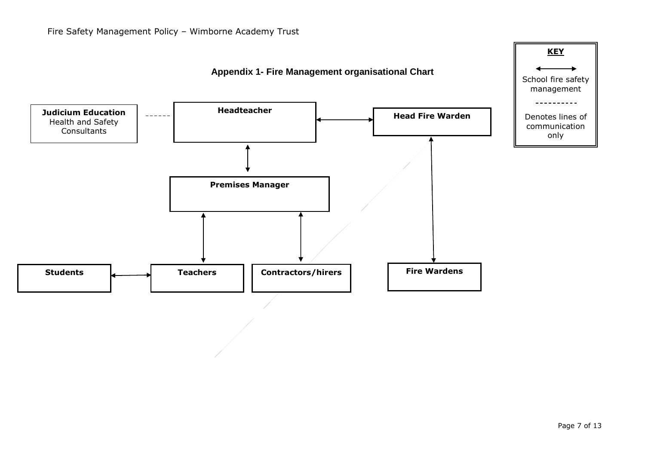<span id="page-6-0"></span>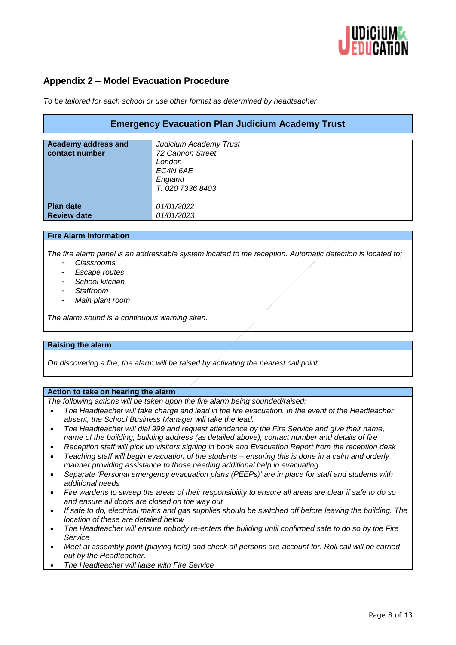

### <span id="page-7-0"></span>**Appendix 2 – Model Evacuation Procedure**

*To be tailored for each school or use other format as determined by headteacher*

| <b>Emergency Evacuation Plan Judicium Academy Trust</b> |                        |  |  |  |  |
|---------------------------------------------------------|------------------------|--|--|--|--|
|                                                         |                        |  |  |  |  |
| <b>Academy address and</b>                              | Judicium Academy Trust |  |  |  |  |
| contact number                                          | 72 Cannon Street       |  |  |  |  |
|                                                         | London                 |  |  |  |  |
|                                                         | EC4N 6AE               |  |  |  |  |
|                                                         | England                |  |  |  |  |
|                                                         | T: 020 7336 8403       |  |  |  |  |
|                                                         |                        |  |  |  |  |
|                                                         |                        |  |  |  |  |
| <b>Plan date</b>                                        | 01/01/2022             |  |  |  |  |
| <b>Review date</b>                                      | 01/01/2023             |  |  |  |  |

### **Fire Alarm Information**

*The fire alarm panel is an addressable system located to the reception. Automatic detection is located to;*

- *Classrooms*
- *Escape routes*
- *School kitchen*
- *Staffroom*
- *Main plant room*

*The alarm sound is a continuous warning siren.*

### **Raising the alarm**

*On discovering a fire, the alarm will be raised by activating the nearest call point.*

### **Action to take on hearing the alarm**

*The following actions will be taken upon the fire alarm being sounded/raised:* 

- *The Headteacher will take charge and lead in the fire evacuation. In the event of the Headteacher absent, the School Business Manager will take the lead.*
- *The Headteacher will dial 999 and request attendance by the Fire Service and give their name, name of the building, building address (as detailed above), contact number and details of fire*
- *Reception staff will pick up visitors signing in book and Evacuation Report from the reception desk*
- *Teaching staff will begin evacuation of the students – ensuring this is done in a calm and orderly manner providing assistance to those needing additional help in evacuating*
- *Separate 'Personal emergency evacuation plans (PEEPs)' are in place for staff and students with additional needs*
- *Fire wardens to sweep the areas of their responsibility to ensure all areas are clear if safe to do so and ensure all doors are closed on the way out*
- *If safe to do, electrical mains and gas supplies should be switched off before leaving the building. The location of these are detailed below*
- *The Headteacher will ensure nobody re-enters the building until confirmed safe to do so by the Fire Service*
- *Meet at assembly point (playing field) and check all persons are account for. Roll call will be carried out by the Headteacher.*
- *The Headteacher will liaise with Fire Service*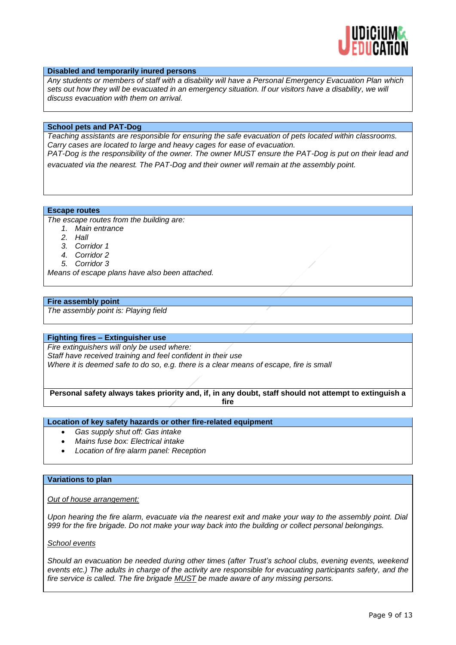

### **Disabled and temporarily inured persons**

*Any students or members of staff with a disability will have a Personal Emergency Evacuation Plan which sets out how they will be evacuated in an emergency situation. If our visitors have a disability, we will discuss evacuation with them on arrival.* 

### **School pets and PAT-Dog**

*Teaching assistants are responsible for ensuring the safe evacuation of pets located within classrooms. Carry cases are located to large and heavy cages for ease of evacuation.* 

*PAT-Dog is the responsibility of the owner. The owner MUST ensure the PAT-Dog is put on their lead and evacuated via the nearest. The PAT-Dog and their owner will remain at the assembly point.*

**Escape routes**

*The escape routes from the building are:* 

- *1. Main entrance*
- *2. Hall*
- *3. Corridor 1*
- *4. Corridor 2*
- *5. Corridor 3*

*Means of escape plans have also been attached.* 

#### **Fire assembly point**

*The assembly point is: Playing field*

### **Fighting fires – Extinguisher use**

*Fire extinguishers will only be used where: Staff have received training and feel confident in their use Where it is deemed safe to do so, e.g. there is a clear means of escape, fire is small*

**Personal safety always takes priority and, if, in any doubt, staff should not attempt to extinguish a fire**

**Location of key safety hazards or other fire-related equipment**

- *Gas supply shut off: Gas intake*
- *Mains fuse box: Electrical intake*
- *Location of fire alarm panel: Reception*

### **Variations to plan**

### *Out of house arrangement:*

*Upon hearing the fire alarm, evacuate via the nearest exit and make your way to the assembly point. Dial 999 for the fire brigade. Do not make your way back into the building or collect personal belongings.* 

### *School events*

*Should an evacuation be needed during other times (after Trust's school clubs, evening events, weekend events etc.) The adults in charge of the activity are responsible for evacuating participants safety, and the fire service is called. The fire brigade MUST be made aware of any missing persons.*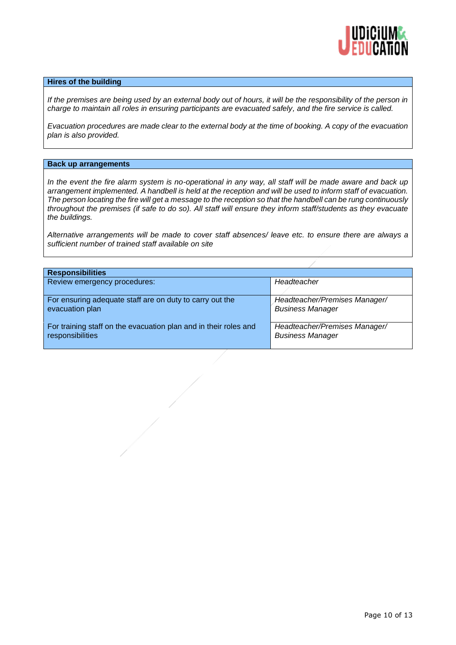

### **Hires of the building**

*If the premises are being used by an external body out of hours, it will be the responsibility of the person in charge to maintain all roles in ensuring participants are evacuated safely, and the fire service is called.* 

*Evacuation procedures are made clear to the external body at the time of booking. A copy of the evacuation plan is also provided.*

#### **Back up arrangements**

*In the event the fire alarm system is no-operational in any way, all staff will be made aware and back up arrangement implemented. A handbell is held at the reception and will be used to inform staff of evacuation. The person locating the fire will get a message to the reception so that the handbell can be rung continuously throughout the premises (if safe to do so). All staff will ensure they inform staff/students as they evacuate the buildings.*

*Alternative arrangements will be made to cover staff absences/ leave etc. to ensure there are always a sufficient number of trained staff available on site*

| <b>Responsibilities</b>                                          |                               |  |  |
|------------------------------------------------------------------|-------------------------------|--|--|
| Review emergency procedures:                                     | Headteacher                   |  |  |
| For ensuring adequate staff are on duty to carry out the         | Headteacher/Premises Manager/ |  |  |
| evacuation plan                                                  | <b>Business Manager</b>       |  |  |
| For training staff on the evacuation plan and in their roles and | Headteacher/Premises Manager/ |  |  |
| responsibilities                                                 | <b>Business Manager</b>       |  |  |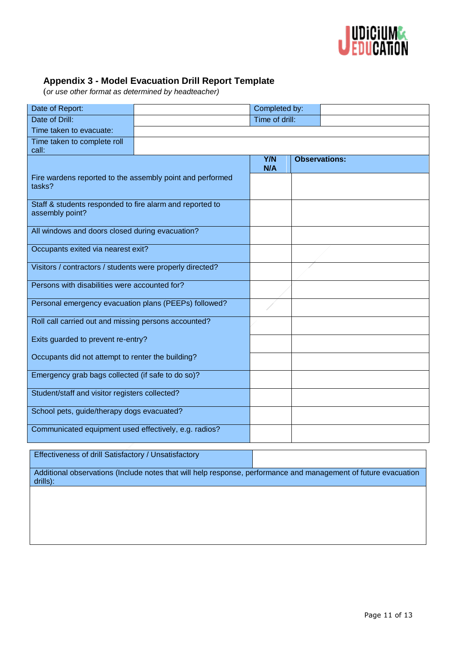

## <span id="page-10-0"></span>**Appendix 3 - Model Evacuation Drill Report Template**

(*or use other format as determined by headteacher)*

| Date of Report:                                                             |  | Completed by:     |                      |  |
|-----------------------------------------------------------------------------|--|-------------------|----------------------|--|
| Date of Drill:                                                              |  | Time of drill:    |                      |  |
| Time taken to evacuate:                                                     |  |                   |                      |  |
| Time taken to complete roll<br>call:                                        |  |                   |                      |  |
|                                                                             |  | <b>Y/N</b><br>N/A | <b>Observations:</b> |  |
| Fire wardens reported to the assembly point and performed<br>tasks?         |  |                   |                      |  |
| Staff & students responded to fire alarm and reported to<br>assembly point? |  |                   |                      |  |
| All windows and doors closed during evacuation?                             |  |                   |                      |  |
| Occupants exited via nearest exit?                                          |  |                   |                      |  |
| Visitors / contractors / students were properly directed?                   |  |                   |                      |  |
| Persons with disabilities were accounted for?                               |  |                   |                      |  |
| Personal emergency evacuation plans (PEEPs) followed?                       |  |                   |                      |  |
| Roll call carried out and missing persons accounted?                        |  |                   |                      |  |
| Exits guarded to prevent re-entry?                                          |  |                   |                      |  |
| Occupants did not attempt to renter the building?                           |  |                   |                      |  |
| Emergency grab bags collected (if safe to do so)?                           |  |                   |                      |  |
| Student/staff and visitor registers collected?                              |  |                   |                      |  |
| School pets, guide/therapy dogs evacuated?                                  |  |                   |                      |  |
| Communicated equipment used effectively, e.g. radios?                       |  |                   |                      |  |

### Effectiveness of drill Satisfactory / Unsatisfactory

Additional observations (Include notes that will help response, performance and management of future evacuation drills):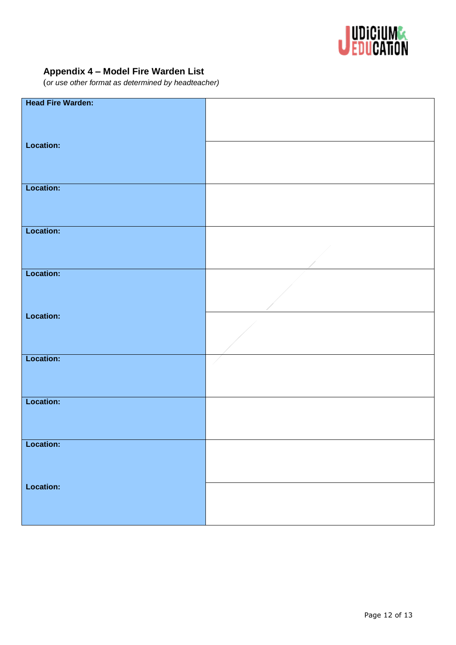

## <span id="page-11-0"></span>**Appendix 4 – Model Fire Warden List**

(*or use other format as determined by headteacher)*

| <b>Head Fire Warden:</b> |  |
|--------------------------|--|
|                          |  |
|                          |  |
|                          |  |
|                          |  |
|                          |  |
| Location:                |  |
|                          |  |
|                          |  |
|                          |  |
|                          |  |
|                          |  |
| <b>Location:</b>         |  |
|                          |  |
|                          |  |
|                          |  |
|                          |  |
|                          |  |
| Location:                |  |
|                          |  |
|                          |  |
|                          |  |
|                          |  |
|                          |  |
| Location:                |  |
|                          |  |
|                          |  |
|                          |  |
|                          |  |
|                          |  |
| Location:                |  |
|                          |  |
|                          |  |
|                          |  |
|                          |  |
|                          |  |
| Location:                |  |
|                          |  |
|                          |  |
|                          |  |
|                          |  |
|                          |  |
| Location:                |  |
|                          |  |
|                          |  |
|                          |  |
|                          |  |
|                          |  |
| Location:                |  |
|                          |  |
|                          |  |
|                          |  |
|                          |  |
|                          |  |
| Location:                |  |
|                          |  |
|                          |  |
|                          |  |
|                          |  |
|                          |  |